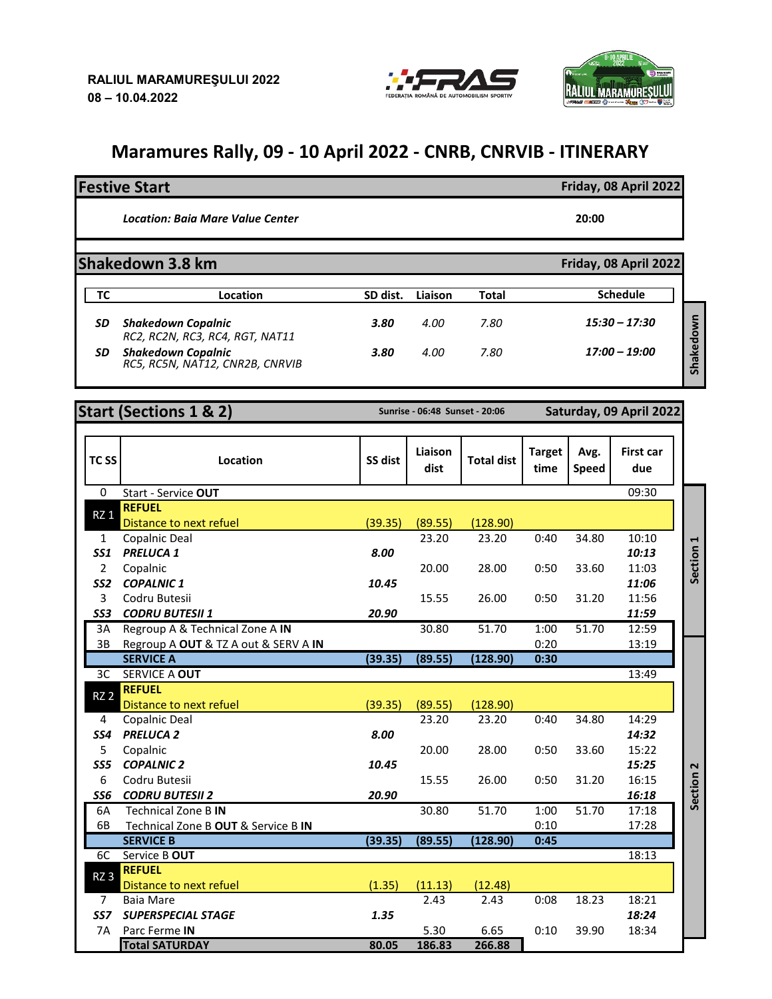

## **RALIUL MARAMURES**

## **Maramures Rally, 09 - 10 April 2022 - CNRB, CNRVIB - ITINERARY**

## **Festive Start Friday, 08 April 2022**

*Location: Baia Mare Value Center* **20:00**

**Shakedown 3.8 km Friday, 08 April 2022** 

|    | Location                                                     | SD dist. | Liaison | Total | <b>Schedule</b>                |
|----|--------------------------------------------------------------|----------|---------|-------|--------------------------------|
| SD | <b>Shakedown Copalnic</b><br>RC2, RC2N, RC3, RC4, RGT, NAT11 | 3.80     | 4.00    | 7.80  | $15:30 - 17:30$                |
| SD | <b>Shakedown Copalnic</b><br>RC5, RC5N, NAT12, CNR2B, CNRVIB | 3.80     | 4.00    | 7.80  | $17:00 - 19:00$<br><b>Ghal</b> |

| <b>Start (Sections 1 &amp; 2)</b> |  |  |
|-----------------------------------|--|--|
|                                   |  |  |
|                                   |  |  |

**Start (Sections 1 & 2) Sunrise - 06:48 Sunset - 20:06 Saturday, 09 April 2022**

| TC <sub>SS</sub> | Location                             | SS dist | Liaison<br>dist | <b>Total dist</b> | <b>Target</b><br>time | Avg.<br><b>Speed</b> | <b>First car</b><br>due |           |
|------------------|--------------------------------------|---------|-----------------|-------------------|-----------------------|----------------------|-------------------------|-----------|
| 0                | Start - Service OUT                  |         |                 |                   |                       |                      | 09:30                   |           |
| $RZ_1$           | <b>REFUEL</b>                        |         |                 |                   |                       |                      |                         |           |
|                  | Distance to next refuel              | (39.35) | (89.55)         | (128.90)          |                       |                      |                         |           |
| $\mathbf{1}$     | Copalnic Deal                        |         | 23.20           | 23.20             | 0:40                  | 34.80                | 10:10                   |           |
| <b>SS1</b>       | <b>PRELUCA 1</b>                     | 8.00    |                 |                   |                       |                      | 10:13                   | Section 1 |
| $\overline{2}$   | Copalnic                             |         | 20.00           | 28.00             | 0:50                  | 33.60                | 11:03                   |           |
| SS <sub>2</sub>  | <b>COPALNIC1</b>                     | 10.45   |                 |                   |                       |                      | 11:06                   |           |
| 3                | Codru Butesii                        |         | 15.55           | 26.00             | 0:50                  | 31.20                | 11:56                   |           |
| SS3              | <b>CODRU BUTESII 1</b>               | 20.90   |                 |                   |                       |                      | 11:59                   |           |
| 3A               | Regroup A & Technical Zone A IN      |         | 30.80           | 51.70             | 1:00                  | 51.70                | 12:59                   |           |
| 3B               | Regroup A OUT & TZ A out & SERV A IN |         |                 |                   | 0:20                  |                      | 13:19                   |           |
|                  | <b>SERVICE A</b>                     | (39.35) | (89.55)         | (128.90)          | 0:30                  |                      |                         |           |
| 3C               | SERVICE A OUT                        |         |                 |                   |                       |                      | 13:49                   |           |
| RZ <sub>2</sub>  | <b>REFUEL</b>                        |         |                 |                   |                       |                      |                         |           |
|                  | <b>Distance to next refuel</b>       | (39.35) | (89.55)         | (128.90)          |                       |                      |                         |           |
| 4                | Copalnic Deal                        |         | 23.20           | 23.20             | 0:40                  | 34.80                | 14:29                   |           |
| SS4              | <b>PRELUCA 2</b>                     | 8.00    |                 |                   |                       |                      | 14:32                   |           |
| 5                | Copalnic                             |         | 20.00           | 28.00             | 0:50                  | 33.60                | 15:22                   |           |
| SS5              | <b>COPALNIC 2</b>                    | 10.45   |                 |                   |                       |                      | 15:25                   |           |
| 6                | Codru Butesii                        |         | 15.55           | 26.00             | 0:50                  | 31.20                | 16:15                   | Section 2 |
| SS6              | <b>CODRU BUTESII 2</b>               | 20.90   |                 |                   |                       |                      | 16:18                   |           |
| 6A               | <b>Technical Zone B IN</b>           |         | 30.80           | 51.70             | 1:00                  | 51.70                | 17:18                   |           |
| 6B               | Technical Zone B OUT & Service B IN  |         |                 |                   | 0:10                  |                      | 17:28                   |           |
|                  | <b>SERVICE B</b>                     | (39.35) | (89.55)         | (128.90)          | 0:45                  |                      |                         |           |
| 6C               | Service B OUT                        |         |                 |                   |                       |                      | 18:13                   |           |
| RZ <sub>3</sub>  | <b>REFUEL</b>                        |         |                 |                   |                       |                      |                         |           |
|                  | Distance to next refuel              | (1.35)  | (11.13)         | (12.48)           |                       |                      |                         |           |
| 7                | <b>Baia Mare</b>                     |         | 2.43            | 2.43              | 0:08                  | 18.23                | 18:21                   |           |
| SS <sub>7</sub>  | <b>SUPERSPECIAL STAGE</b>            | 1.35    |                 |                   |                       |                      | 18:24                   |           |
| 7A               | Parc Ferme IN                        |         | 5.30            | 6.65              | 0:10                  | 39.90                | 18:34                   |           |
|                  | <b>Total SATURDAY</b>                | 80.05   | 186.83          | 266.88            |                       |                      |                         |           |